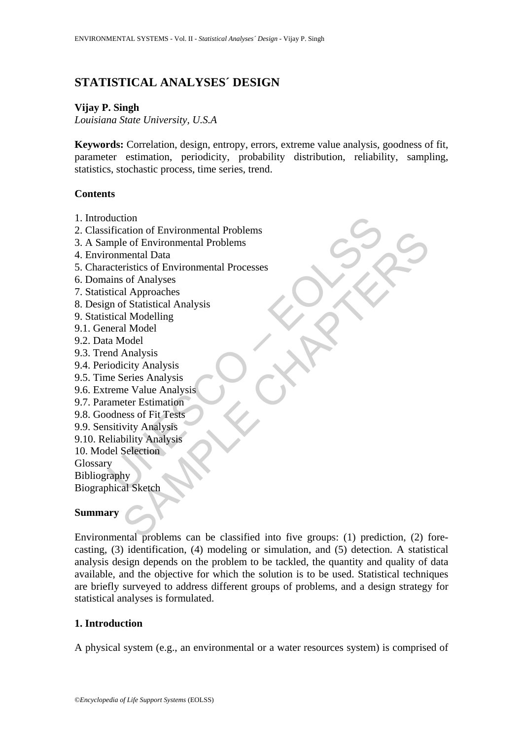# **STATISTICAL ANALYSES´ DESIGN**

#### **Vijay P. Singh**

*Louisiana State University, U.S.A* 

**Keywords:** Correlation, design, entropy, errors, extreme value analysis, goodness of fit, parameter estimation, periodicity, probability distribution, reliability, sampling, statistics, stochastic process, time series, trend.

#### **Contents**

- 1. Introduction
- 2. Classification of Environmental Problems
- 3. A Sample of Environmental Problems
- 4. Environmental Data
- duction<br>ification of Environmental Problems<br>mple of Environmental Problems<br>conmental Data<br>cateristics of Environmental Processes<br>ains of Analyses<br>ticial Approaches<br>and Scatistical Analysis<br>nextral Model<br>as Model<br>and Analys 5. Characteristics of Environmental Processes
- 6. Domains of Analyses
- 7. Statistical Approaches
- 8. Design of Statistical Analysis
- 9. Statistical Modelling
- 9.1. General Model
- 9.2. Data Model
- 9.3. Trend Analysis
- 9.4. Periodicity Analysis
- 9.5. Time Series Analysis
- 9.6. Extreme Value Analysis
- 9.7. Parameter Estimation
- 9.8. Goodness of Fit Tests
- 9.9. Sensitivity Analysis
- 9.10. Reliability Analysis
- 10. Model Selection

Glossary

Bibliography

Biographical Sketch

## **Summary**

ation of Environmental Problems<br>
ele of Environmental Problems<br>
mental Data<br>
and Approaches<br>
and Approaches<br>
of Matistical Analysis<br>
al Modelling<br>
Analysis<br>
city Analysis<br>
city Analysis<br>
icity Analysis<br>
ele Value Analysis<br> Environmental problems can be classified into five groups: (1) prediction, (2) forecasting, (3) identification, (4) modeling or simulation, and (5) detection. A statistical analysis design depends on the problem to be tackled, the quantity and quality of data available, and the objective for which the solution is to be used. Statistical techniques are briefly surveyed to address different groups of problems, and a design strategy for statistical analyses is formulated.

## **1. Introduction**

A physical system (e.g., an environmental or a water resources system) is comprised of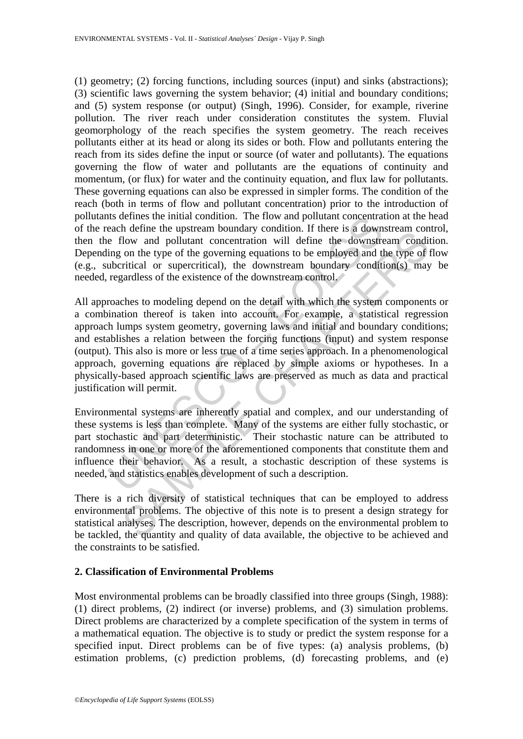(1) geometry; (2) forcing functions, including sources (input) and sinks (abstractions); (3) scientific laws governing the system behavior; (4) initial and boundary conditions; and (5) system response (or output) (Singh, 1996). Consider, for example, riverine pollution. The river reach under consideration constitutes the system. Fluvial geomorphology of the reach specifies the system geometry. The reach receives pollutants either at its head or along its sides or both. Flow and pollutants entering the reach from its sides define the input or source (of water and pollutants). The equations governing the flow of water and pollutants are the equations of continuity and momentum, (or flux) for water and the continuity equation, and flux law for pollutants. These governing equations can also be expressed in simpler forms. The condition of the reach (both in terms of flow and pollutant concentration) prior to the introduction of pollutants defines the initial condition. The flow and pollutant concentration at the head of the reach define the upstream boundary condition. If there is a downstream control, then the flow and pollutant concentration will define the downstream condition. Depending on the type of the governing equations to be employed and the type of flow (e.g., subcritical or supercritical), the downstream boundary condition(s) may be needed, regardless of the existence of the downstream control.

als define the upstream boundary condition. The flow and pollutant concentrate<br>each define the upstream boundary condition. If there is a down<br>the e flow and pollutant concentration will define the downstre<br>ing on the type m cannot are opposed to consumptive contraction in the case are accounts and conduct and pollutant concentration will define the downstream condition on the type of the governing equations to be employed and the type of ir All approaches to modeling depend on the detail with which the system components or a combination thereof is taken into account. For example, a statistical regression approach lumps system geometry, governing laws and initial and boundary conditions; and establishes a relation between the forcing functions (input) and system response (output). This also is more or less true of a time series approach. In a phenomenological approach, governing equations are replaced by simple axioms or hypotheses. In a physically-based approach scientific laws are preserved as much as data and practical justification will permit.

Environmental systems are inherently spatial and complex, and our understanding of these systems is less than complete. Many of the systems are either fully stochastic, or part stochastic and part deterministic. Their stochastic nature can be attributed to randomness in one or more of the aforementioned components that constitute them and influence their behavior. As a result, a stochastic description of these systems is needed, and statistics enables development of such a description.

There is a rich diversity of statistical techniques that can be employed to address environmental problems. The objective of this note is to present a design strategy for statistical analyses. The description, however, depends on the environmental problem to be tackled, the quantity and quality of data available, the objective to be achieved and the constraints to be satisfied.

## **2. Classification of Environmental Problems**

Most environmental problems can be broadly classified into three groups (Singh, 1988): (1) direct problems, (2) indirect (or inverse) problems, and (3) simulation problems. Direct problems are characterized by a complete specification of the system in terms of a mathematical equation. The objective is to study or predict the system response for a specified input. Direct problems can be of five types: (a) analysis problems, (b) estimation problems, (c) prediction problems, (d) forecasting problems, and (e)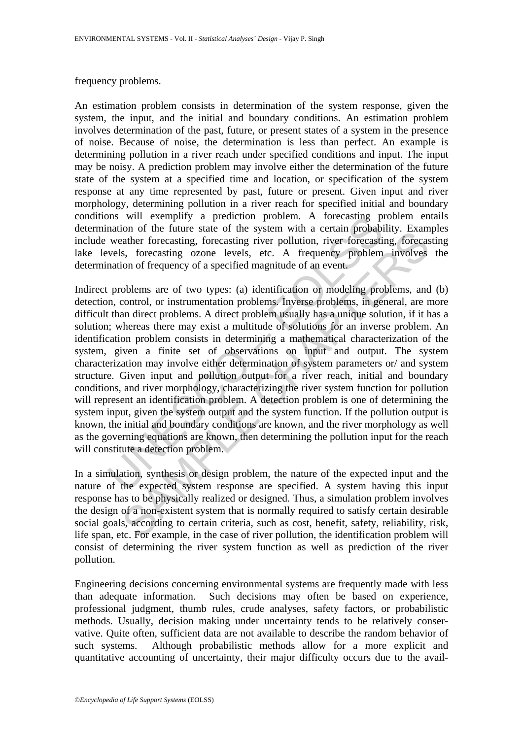#### frequency problems.

An estimation problem consists in determination of the system response, given the system, the input, and the initial and boundary conditions. An estimation problem involves determination of the past, future, or present states of a system in the presence of noise. Because of noise, the determination is less than perfect. An example is determining pollution in a river reach under specified conditions and input. The input may be noisy. A prediction problem may involve either the determination of the future state of the system at a specified time and location, or specification of the system response at any time represented by past, future or present. Given input and river morphology, determining pollution in a river reach for specified initial and boundary conditions will exemplify a prediction problem. A forecasting problem entails determination of the future state of the system with a certain probability. Examples include weather forecasting, forecasting river pollution, river forecasting, forecasting lake levels, forecasting ozone levels, etc. A frequency problem involves the determination of frequency of a specified magnitude of an event.

In exemplity a prediction problem. A forecasting provident and the future state of the system with a certain probabile weakter forecasting, forecasting river pollution, river forecasting weakter forecasting ozone levels, e not of the rule state of the system war a centam probability. Lexamine and control the reasting, forecasting rotecasting river pollution, river forecasting, forecass, s, forecasting ozone levels, etc. A frequency problem i Indirect problems are of two types: (a) identification or modeling problems, and (b) detection, control, or instrumentation problems. Inverse problems, in general, are more difficult than direct problems. A direct problem usually has a unique solution, if it has a solution; whereas there may exist a multitude of solutions for an inverse problem. An identification problem consists in determining a mathematical characterization of the system, given a finite set of observations on input and output. The system characterization may involve either determination of system parameters or/ and system structure. Given input and pollution output for a river reach, initial and boundary conditions, and river morphology, characterizing the river system function for pollution will represent an identification problem. A detection problem is one of determining the system input, given the system output and the system function. If the pollution output is known, the initial and boundary conditions are known, and the river morphology as well as the governing equations are known, then determining the pollution input for the reach will constitute a detection problem.

In a simulation, synthesis or design problem, the nature of the expected input and the nature of the expected system response are specified. A system having this input response has to be physically realized or designed. Thus, a simulation problem involves the design of a non-existent system that is normally required to satisfy certain desirable social goals, according to certain criteria, such as cost, benefit, safety, reliability, risk, life span, etc. For example, in the case of river pollution, the identification problem will consist of determining the river system function as well as prediction of the river pollution.

Engineering decisions concerning environmental systems are frequently made with less than adequate information. Such decisions may often be based on experience, professional judgment, thumb rules, crude analyses, safety factors, or probabilistic methods. Usually, decision making under uncertainty tends to be relatively conservative. Quite often, sufficient data are not available to describe the random behavior of such systems. Although probabilistic methods allow for a more explicit and quantitative accounting of uncertainty, their major difficulty occurs due to the avail-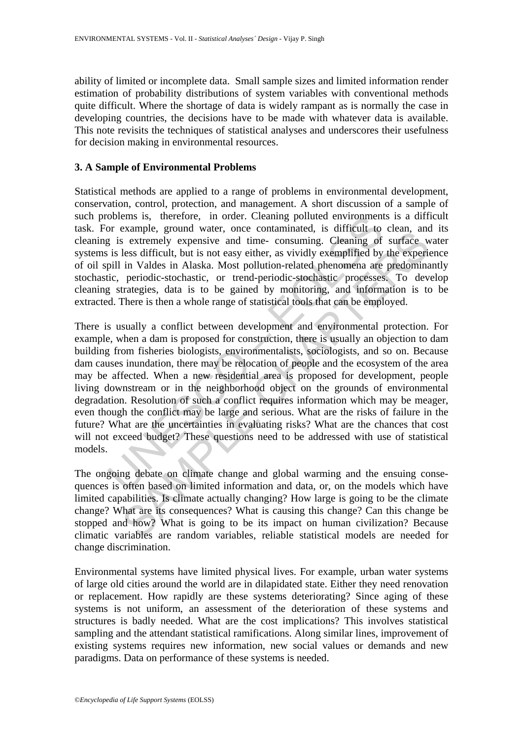ability of limited or incomplete data. Small sample sizes and limited information render estimation of probability distributions of system variables with conventional methods quite difficult. Where the shortage of data is widely rampant as is normally the case in developing countries, the decisions have to be made with whatever data is available. This note revisits the techniques of statistical analyses and underscores their usefulness for decision making in environmental resources.

#### **3. A Sample of Environmental Problems**

Statistical methods are applied to a range of problems in environmental development, conservation, control, protection, and management. A short discussion of a sample of such problems is, therefore, in order. Cleaning polluted environments is a difficult task. For example, ground water, once contaminated, is difficult to clean, and its cleaning is extremely expensive and time- consuming. Cleaning of surface water systems is less difficult, but is not easy either, as vividly exemplified by the experience of oil spill in Valdes in Alaska. Most pollution-related phenomena are predominantly stochastic, periodic-stochastic, or trend-periodic-stochastic processes. To develop cleaning strategies, data is to be gained by monitoring, and information is to be extracted. There is then a whole range of statistical tools that can be employed.

oblems is, therefore, in order. Cleaning polluted environment<br>or example, ground water, once contaminated, is difficult to<br>g is extremely expensive and time- consuming. Cleaning of<br>is less difficult, but is not easy either Example, good war, once containmated, is surrent to clean, and a sextemely expensive and time consuming. Cleaning of surface we less difficult, but is not easy either, as vividly exemplified by the experiin Valdes in Alask There is usually a conflict between development and environmental protection. For example, when a dam is proposed for construction, there is usually an objection to dam building from fisheries biologists, environmentalists, sociologists, and so on. Because dam causes inundation, there may be relocation of people and the ecosystem of the area may be affected. When a new residential area is proposed for development, people living downstream or in the neighborhood object on the grounds of environmental degradation. Resolution of such a conflict requires information which may be meager, even though the conflict may be large and serious. What are the risks of failure in the future? What are the uncertainties in evaluating risks? What are the chances that cost will not exceed budget? These questions need to be addressed with use of statistical models.

The ongoing debate on climate change and global warming and the ensuing consequences is often based on limited information and data, or, on the models which have limited capabilities. Is climate actually changing? How large is going to be the climate change? What are its consequences? What is causing this change? Can this change be stopped and how? What is going to be its impact on human civilization? Because climatic variables are random variables, reliable statistical models are needed for change discrimination.

Environmental systems have limited physical lives. For example, urban water systems of large old cities around the world are in dilapidated state. Either they need renovation or replacement. How rapidly are these systems deteriorating? Since aging of these systems is not uniform, an assessment of the deterioration of these systems and structures is badly needed. What are the cost implications? This involves statistical sampling and the attendant statistical ramifications. Along similar lines, improvement of existing systems requires new information, new social values or demands and new paradigms. Data on performance of these systems is needed.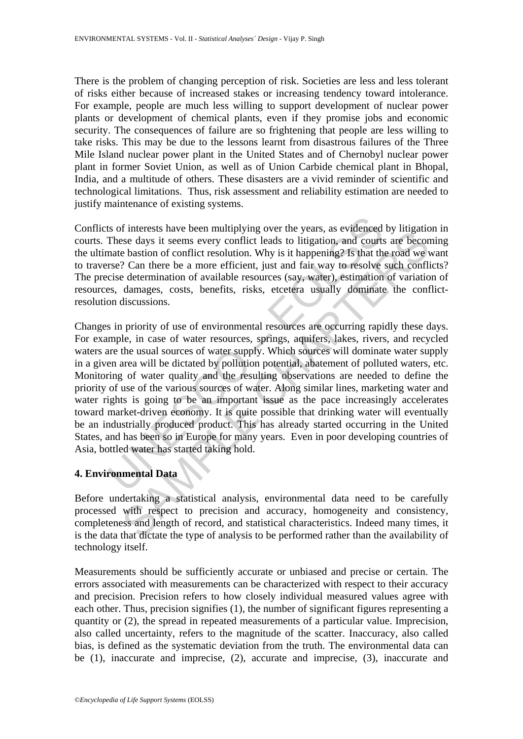There is the problem of changing perception of risk. Societies are less and less tolerant of risks either because of increased stakes or increasing tendency toward intolerance. For example, people are much less willing to support development of nuclear power plants or development of chemical plants, even if they promise jobs and economic security. The consequences of failure are so frightening that people are less willing to take risks. This may be due to the lessons learnt from disastrous failures of the Three Mile Island nuclear power plant in the United States and of Chernobyl nuclear power plant in former Soviet Union, as well as of Union Carbide chemical plant in Bhopal, India, and a multitude of others. These disasters are a vivid reminder of scientific and technological limitations. Thus, risk assessment and reliability estimation are needed to justify maintenance of existing systems.

Conflicts of interests have been multiplying over the years, as evidenced by litigation in courts. These days it seems every conflict leads to litigation, and courts are becoming the ultimate bastion of conflict resolution. Why is it happening? Is that the road we want to traverse? Can there be a more efficient, just and fair way to resolve such conflicts? The precise determination of available resources (say, water), estimation of variation of resources, damages, costs, benefits, risks, etcetera usually dominate the conflictresolution discussions.

Its of interests have been multiplying over the years, as evidenced<br>These days it seems every conflict leads to litigation, and courts<br>nate bastion of conflict resolution. Why is it happening? Is that th<br>rse? Can there be metricals have occurrinatipying over an eyears, as eventence of magnetical<br>see days it seems every conflict leads to litigation, and courts are becomes<br>be bastion of conflict resolution. Why is it happening? Is that the ro Changes in priority of use of environmental resources are occurring rapidly these days. For example, in case of water resources, springs, aquifers, lakes, rivers, and recycled waters are the usual sources of water supply. Which sources will dominate water supply in a given area will be dictated by pollution potential, abatement of polluted waters, etc. Monitoring of water quality and the resulting observations are needed to define the priority of use of the various sources of water. Along similar lines, marketing water and water rights is going to be an important issue as the pace increasingly accelerates toward market-driven economy. It is quite possible that drinking water will eventually be an industrially produced product. This has already started occurring in the United States, and has been so in Europe for many years. Even in poor developing countries of Asia, bottled water has started taking hold.

## **4. Environmental Data**

Before undertaking a statistical analysis, environmental data need to be carefully processed with respect to precision and accuracy, homogeneity and consistency, completeness and length of record, and statistical characteristics. Indeed many times, it is the data that dictate the type of analysis to be performed rather than the availability of technology itself.

Measurements should be sufficiently accurate or unbiased and precise or certain. The errors associated with measurements can be characterized with respect to their accuracy and precision. Precision refers to how closely individual measured values agree with each other. Thus, precision signifies (1), the number of significant figures representing a quantity or (2), the spread in repeated measurements of a particular value. Imprecision, also called uncertainty, refers to the magnitude of the scatter. Inaccuracy, also called bias, is defined as the systematic deviation from the truth. The environmental data can be (1), inaccurate and imprecise, (2), accurate and imprecise, (3), inaccurate and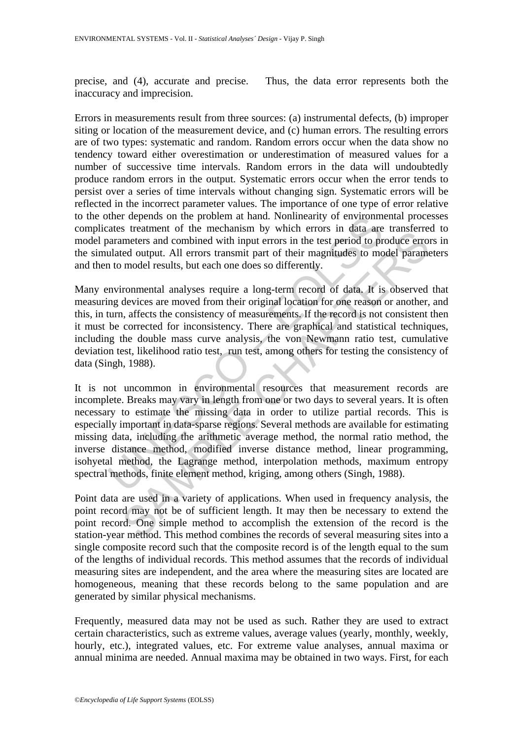precise, and (4), accurate and precise. Thus, the data error represents both the inaccuracy and imprecision.

Errors in measurements result from three sources: (a) instrumental defects, (b) improper siting or location of the measurement device, and (c) human errors. The resulting errors are of two types: systematic and random. Random errors occur when the data show no tendency toward either overestimation or underestimation of measured values for a number of successive time intervals. Random errors in the data will undoubtedly produce random errors in the output. Systematic errors occur when the error tends to persist over a series of time intervals without changing sign. Systematic errors will be reflected in the incorrect parameter values. The importance of one type of error relative to the other depends on the problem at hand. Nonlinearity of environmental processes complicates treatment of the mechanism by which errors in data are transferred to model parameters and combined with input errors in the test period to produce errors in the simulated output. All errors transmit part of their magnitudes to model parameters and then to model results, but each one does so differently.

Many environmental analyses require a long-term record of data. It is observed that measuring devices are moved from their original location for one reason or another, and this, in turn, affects the consistency of measurements. If the record is not consistent then it must be corrected for inconsistency. There are graphical and statistical techniques, including the double mass curve analysis, the von Newmann ratio test, cumulative deviation test, likelihood ratio test, run test, among others for testing the consistency of data (Singh, 1988).

ther depends on the problem at hand. Nonlinearity of environmented the mechanism by which errors in data are a<br>arameters and combined with input errors in the test period to problem and are and are dust and the mechanism b s cacanomic of the metanialism of the metanism of the last at a and constrained with input errors in the test period to produce errored output. All errors transmit part of their magnitudes to model parameters and combined It is not uncommon in environmental resources that measurement records are incomplete. Breaks may vary in length from one or two days to several years. It is often necessary to estimate the missing data in order to utilize partial records. This is especially important in data-sparse regions. Several methods are available for estimating missing data, including the arithmetic average method, the normal ratio method, the inverse distance method, modified inverse distance method, linear programming, isohyetal method, the Lagrange method, interpolation methods, maximum entropy spectral methods, finite element method, kriging, among others (Singh, 1988).

Point data are used in a variety of applications. When used in frequency analysis, the point record may not be of sufficient length. It may then be necessary to extend the point record. One simple method to accomplish the extension of the record is the station-year method. This method combines the records of several measuring sites into a single composite record such that the composite record is of the length equal to the sum of the lengths of individual records. This method assumes that the records of individual measuring sites are independent, and the area where the measuring sites are located are homogeneous, meaning that these records belong to the same population and are generated by similar physical mechanisms.

Frequently, measured data may not be used as such. Rather they are used to extract certain characteristics, such as extreme values, average values (yearly, monthly, weekly, hourly, etc.), integrated values, etc. For extreme value analyses, annual maxima or annual minima are needed. Annual maxima may be obtained in two ways. First, for each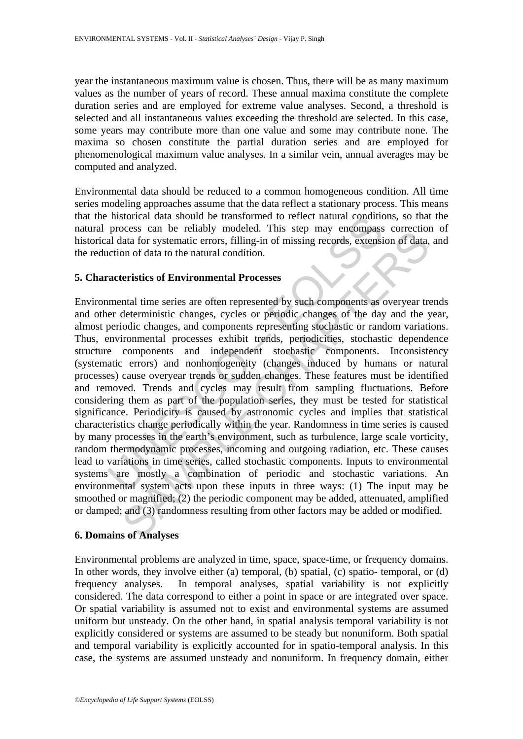year the instantaneous maximum value is chosen. Thus, there will be as many maximum values as the number of years of record. These annual maxima constitute the complete duration series and are employed for extreme value analyses. Second, a threshold is selected and all instantaneous values exceeding the threshold are selected. In this case, some years may contribute more than one value and some may contribute none. The maxima so chosen constitute the partial duration series and are employed for phenomenological maximum value analyses. In a similar vein, annual averages may be computed and analyzed.

Environmental data should be reduced to a common homogeneous condition. All time series modeling approaches assume that the data reflect a stationary process. This means that the historical data should be transformed to reflect natural conditions, so that the natural process can be reliably modeled. This step may encompass correction of historical data for systematic errors, filling-in of missing records, extension of data, and the reduction of data to the natural condition.

#### **5. Characteristics of Environmental Processes**

Instorical data should be transformed to reflect natural conductor<br>and data for systematic errors, filling-in of missing records, extensi<br>al data for systematic errors, filling-in of missing records, extensi<br>action of data because and to change mode the may select the same of the change scores can be the change and (3) and constants of systematic errors, filling-in of missing records, extension of data, on of data to the natural condition.<br> Environmental time series are often represented by such components as overyear trends and other deterministic changes, cycles or periodic changes of the day and the year, almost periodic changes, and components representing stochastic or random variations. Thus, environmental processes exhibit trends, periodicities, stochastic dependence structure components and independent stochastic components. Inconsistency (systematic errors) and nonhomogeneity (changes induced by humans or natural processes) cause overyear trends or sudden changes. These features must be identified and removed. Trends and cycles may result from sampling fluctuations. Before considering them as part of the population series, they must be tested for statistical significance. Periodicity is caused by astronomic cycles and implies that statistical characteristics change periodically within the year. Randomness in time series is caused by many processes in the earth's environment, such as turbulence, large scale vorticity, random thermodynamic processes, incoming and outgoing radiation, etc. These causes lead to variations in time series, called stochastic components. Inputs to environmental systems are mostly a combination of periodic and stochastic variations. An environmental system acts upon these inputs in three ways: (1) The input may be smoothed or magnified; (2) the periodic component may be added, attenuated, amplified or damped; and (3) randomness resulting from other factors may be added or modified.

## **6. Domains of Analyses**

Environmental problems are analyzed in time, space, space-time, or frequency domains. In other words, they involve either (a) temporal, (b) spatial, (c) spatio- temporal, or (d) frequency analyses. In temporal analyses, spatial variability is not explicitly considered. The data correspond to either a point in space or are integrated over space. Or spatial variability is assumed not to exist and environmental systems are assumed uniform but unsteady. On the other hand, in spatial analysis temporal variability is not explicitly considered or systems are assumed to be steady but nonuniform. Both spatial and temporal variability is explicitly accounted for in spatio-temporal analysis. In this case, the systems are assumed unsteady and nonuniform. In frequency domain, either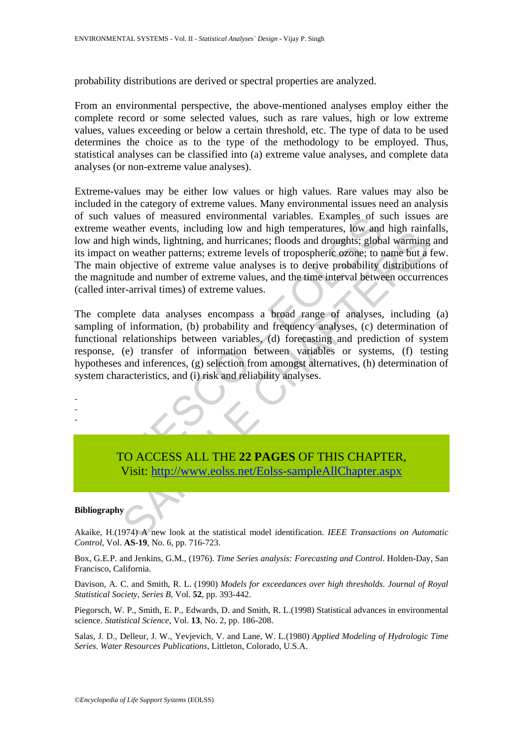probability distributions are derived or spectral properties are analyzed.

From an environmental perspective, the above-mentioned analyses employ either the complete record or some selected values, such as rare values, high or low extreme values, values exceeding or below a certain threshold, etc. The type of data to be used determines the choice as to the type of the methodology to be employed. Thus, statistical analyses can be classified into (a) extreme value analyses, and complete data analyses (or non-extreme value analyses).

The ventiler events, including low and high temperatures, low and the ventiler with the high winds, lightning, and huricanes floods and droughts; globs and the particular of the particle of extreme value analyses if tools Extreme-values may be either low values or high values. Rare values may also be included in the category of extreme values. Many environmental issues need an analysis of such values of measured environmental variables. Examples of such issues are extreme weather events, including low and high temperatures, low and high rainfalls, low and high winds, lightning, and hurricanes; floods and droughts; global warming and its impact on weather patterns; extreme levels of tropospheric ozone; to name but a few. The main objective of extreme value analyses is to derive probability distributions of the magnitude and number of extreme values, and the time interval between occurrences (called inter-arrival times) of extreme values.

Example To was metalling fow and mg computations, they are<br>the winds, lightning, and hurricanes; floods and droughts: global varming<br>on weather patterns; extreme levels of tropospheric ozone; to name but a<br>objective of ext The complete data analyses encompass a broad range of analyses, including (a) sampling of information, (b) probability and frequency analyses, (c) determination of functional relationships between variables, (d) forecasting and prediction of system response, (e) transfer of information between variables or systems, (f) testing hypotheses and inferences, (g) selection from amongst alternatives, (h) determination of system characteristics, and (i) risk and reliability analyses.

-

- -

> TO ACCESS ALL THE **22 PAGES** OF THIS CHAPTER, Visit: http://www.eolss.net/Eolss-sampleAllChapter.aspx

#### **Bibliography**

Akaike, H.(1974) A new look at the statistical model identification. *IEEE Transactions on Automatic Control*, Vol. **AS-19**, No. 6, pp. 716-723.

Box, G.E.P. and Jenkins, G.M., (1976). *Time Series analysis: Forecasting and Control*. Holden-Day, San Francisco, California.

Davison, A. C. and Smith, R. L. (1990) *Models for exceedances over high thresholds. Journal of Royal Statistical Society, Series B*, Vol. **52**, pp. 393-442.

Piegorsch, W. P., Smith, E. P., Edwards, D. and Smith, R. L.(1998) Statistical advances in environmental science. *Statistical Science*, Vol. **13**, No. 2, pp. 186-208.

Salas, J. D., Delleur, J. W., Yevjevich, V. and Lane, W. L.(1980) *Applied Modeling of Hydrologic Time Series. Water Resources Publications*, Littleton, Colorado, U.S.A.